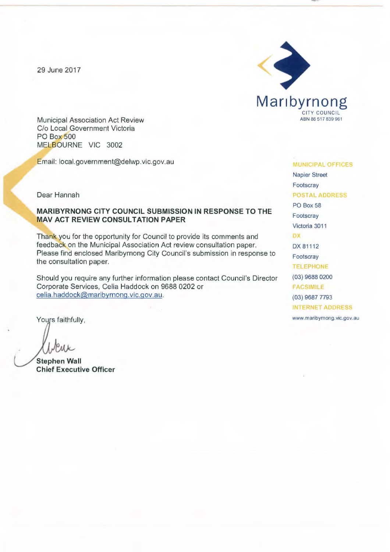29 June 2017



Municipal Association Act Review C/o Local Government Victoria PO Box 500 MELBOURNE VIC 3002

Email: local.government@delwp.vic.gov.au

Dear Hannah

#### **MARIBYRNONG CITY COUNCIL SUBMISSION IN RESPONSE TO THE MAV ACT REVIEW CONSULTATION PAPER**

Thank you for the opportunity for Council to provide its comments and feedback on the Municipal Association Act review consultation paper. Please find enclosed Maribyrnong City Council's submission in response to the consultation paper.

Should you require any further information please contact Council's Director Corporate Services, Celia Haddock on 9688 0202 or celia.haddock@maribyrnong.vic.gov.au.

**Stephen Wall Chief Executive Officer** 

MUNICIPAL OFFICES Napier Street Footscray POSTAL ADDRESS PO Box 58 Footscray Victoria 3011 **DX** DX 81112 Footscray TELEPHONE (03) 9688 0200 **FACSIMILE** (03) 9687 7793 INTERNET ADDRESS Yours faithfully, www.maribyrnong.vic.gov.au www.maribyrnong.vic.gov.au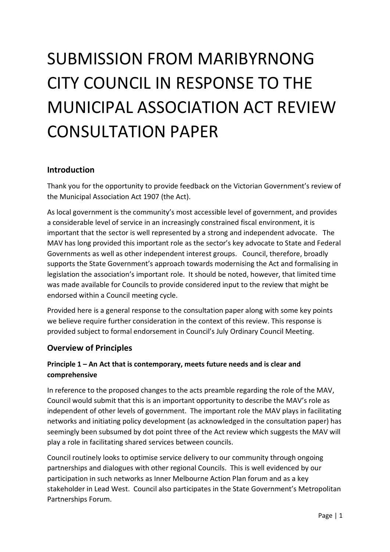# SUBMISSION FROM MARIBYRNONG CITY COUNCIL IN RESPONSE TO THE MUNICIPAL ASSOCIATION ACT REVIEW CONSULTATION PAPER

#### **Introduction**

Thank you for the opportunity to provide feedback on the Victorian Government's review of the Municipal Association Act 1907 (the Act).

As local government is the community's most accessible level of government, and provides a considerable level of service in an increasingly constrained fiscal environment, it is important that the sector is well represented by a strong and independent advocate. The MAV has long provided this important role as the sector's key advocate to State and Federal Governments as well as other independent interest groups. Council, therefore, broadly supports the State Government's approach towards modernising the Act and formalising in legislation the association's important role. It should be noted, however, that limited time was made available for Councils to provide considered input to the review that might be endorsed within a Council meeting cycle.

Provided here is a general response to the consultation paper along with some key points we believe require further consideration in the context of this review. This response is provided subject to formal endorsement in Council's July Ordinary Council Meeting.

#### **Overview of Principles**

## **Principle 1 – An Act that is contemporary, meets future needs and is clear and comprehensive**

In reference to the proposed changes to the acts preamble regarding the role of the MAV, Council would submit that this is an important opportunity to describe the MAV's role as independent of other levels of government. The important role the MAV plays in facilitating networks and initiating policy development (as acknowledged in the consultation paper) has seemingly been subsumed by dot point three of the Act review which suggests the MAV will play a role in facilitating shared services between councils.

Council routinely looks to optimise service delivery to our community through ongoing partnerships and dialogues with other regional Councils. This is well evidenced by our participation in such networks as Inner Melbourne Action Plan forum and as a key stakeholder in Lead West. Council also participates in the State Government's Metropolitan Partnerships Forum.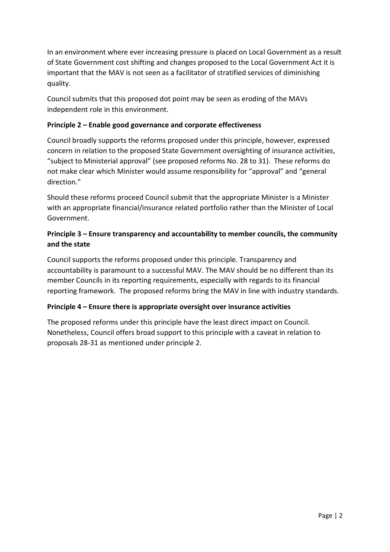In an environment where ever increasing pressure is placed on Local Government as a result of State Government cost shifting and changes proposed to the Local Government Act it is important that the MAV is not seen as a facilitator of stratified services of diminishing quality.

Council submits that this proposed dot point may be seen as eroding of the MAVs independent role in this environment.

#### **Principle 2 – Enable good governance and corporate effectiveness**

Council broadly supports the reforms proposed under this principle, however, expressed concern in relation to the proposed State Government oversighting of insurance activities, "subject to Ministerial approval" (see proposed reforms No. 28 to 31). These reforms do not make clear which Minister would assume responsibility for "approval" and "general direction."

Should these reforms proceed Council submit that the appropriate Minister is a Minister with an appropriate financial/insurance related portfolio rather than the Minister of Local Government.

### **Principle 3 – Ensure transparency and accountability to member councils, the community and the state**

Council supports the reforms proposed under this principle. Transparency and accountability is paramount to a successful MAV. The MAV should be no different than its member Councils in its reporting requirements, especially with regards to its financial reporting framework. The proposed reforms bring the MAV in line with industry standards.

### **Principle 4 – Ensure there is appropriate oversight over insurance activities**

The proposed reforms under this principle have the least direct impact on Council. Nonetheless, Council offers broad support to this principle with a caveat in relation to proposals 28-31 as mentioned under principle 2.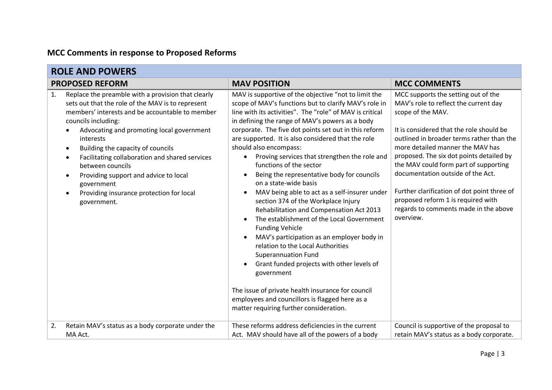# **MCC Comments in response to Proposed Reforms**

| <b>ROLE AND POWERS</b>                                                                                                                                                                                                                                                                                                                                                                                                                                                         |                                                                                                                                                                                                                                                                                                                                                                                                                                                                                                                                                                                                                                                                                                                                                                                                                                                                                                                                                                                                                                                                    |                                                                                                                                                                                                                                                                                                                                                                                                                                                                                                     |
|--------------------------------------------------------------------------------------------------------------------------------------------------------------------------------------------------------------------------------------------------------------------------------------------------------------------------------------------------------------------------------------------------------------------------------------------------------------------------------|--------------------------------------------------------------------------------------------------------------------------------------------------------------------------------------------------------------------------------------------------------------------------------------------------------------------------------------------------------------------------------------------------------------------------------------------------------------------------------------------------------------------------------------------------------------------------------------------------------------------------------------------------------------------------------------------------------------------------------------------------------------------------------------------------------------------------------------------------------------------------------------------------------------------------------------------------------------------------------------------------------------------------------------------------------------------|-----------------------------------------------------------------------------------------------------------------------------------------------------------------------------------------------------------------------------------------------------------------------------------------------------------------------------------------------------------------------------------------------------------------------------------------------------------------------------------------------------|
| <b>PROPOSED REFORM</b>                                                                                                                                                                                                                                                                                                                                                                                                                                                         | <b>MAV POSITION</b>                                                                                                                                                                                                                                                                                                                                                                                                                                                                                                                                                                                                                                                                                                                                                                                                                                                                                                                                                                                                                                                | <b>MCC COMMENTS</b>                                                                                                                                                                                                                                                                                                                                                                                                                                                                                 |
| Replace the preamble with a provision that clearly<br>1.<br>sets out that the role of the MAV is to represent<br>members' interests and be accountable to member<br>councils including:<br>Advocating and promoting local government<br>interests<br>Building the capacity of councils<br>Facilitating collaboration and shared services<br>between councils<br>Providing support and advice to local<br>government<br>Providing insurance protection for local<br>government. | MAV is supportive of the objective "not to limit the<br>scope of MAV's functions but to clarify MAV's role in<br>line with its activities". The "role" of MAV is critical<br>in defining the range of MAV's powers as a body<br>corporate. The five dot points set out in this reform<br>are supported. It is also considered that the role<br>should also encompass:<br>Proving services that strengthen the role and<br>functions of the sector<br>Being the representative body for councils<br>on a state-wide basis<br>MAV being able to act as a self-insurer under<br>section 374 of the Workplace Injury<br>Rehabilitation and Compensation Act 2013<br>The establishment of the Local Government<br><b>Funding Vehicle</b><br>MAV's participation as an employer body in<br>relation to the Local Authorities<br><b>Superannuation Fund</b><br>Grant funded projects with other levels of<br>government<br>The issue of private health insurance for council<br>employees and councillors is flagged here as a<br>matter requiring further consideration. | MCC supports the setting out of the<br>MAV's role to reflect the current day<br>scope of the MAV.<br>It is considered that the role should be<br>outlined in broader terms rather than the<br>more detailed manner the MAV has<br>proposed. The six dot points detailed by<br>the MAV could form part of supporting<br>documentation outside of the Act.<br>Further clarification of dot point three of<br>proposed reform 1 is required with<br>regards to comments made in the above<br>overview. |
| Retain MAV's status as a body corporate under the<br>2.<br>MA Act.                                                                                                                                                                                                                                                                                                                                                                                                             | These reforms address deficiencies in the current<br>Act. MAV should have all of the powers of a body                                                                                                                                                                                                                                                                                                                                                                                                                                                                                                                                                                                                                                                                                                                                                                                                                                                                                                                                                              | Council is supportive of the proposal to<br>retain MAV's status as a body corporate.                                                                                                                                                                                                                                                                                                                                                                                                                |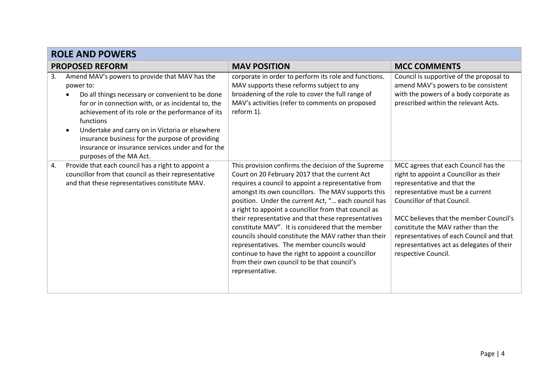|    | <b>ROLE AND POWERS</b>                                                                                                                                                                                                                                                                                                                                                                                                         |                                                                                                                                                                                                                                                                                                                                                                                                                                                                                                                                                                                                                                                                             |                                                                                                                                                                                                                                                                                                                                                                                  |
|----|--------------------------------------------------------------------------------------------------------------------------------------------------------------------------------------------------------------------------------------------------------------------------------------------------------------------------------------------------------------------------------------------------------------------------------|-----------------------------------------------------------------------------------------------------------------------------------------------------------------------------------------------------------------------------------------------------------------------------------------------------------------------------------------------------------------------------------------------------------------------------------------------------------------------------------------------------------------------------------------------------------------------------------------------------------------------------------------------------------------------------|----------------------------------------------------------------------------------------------------------------------------------------------------------------------------------------------------------------------------------------------------------------------------------------------------------------------------------------------------------------------------------|
|    | <b>PROPOSED REFORM</b>                                                                                                                                                                                                                                                                                                                                                                                                         | <b>MAV POSITION</b>                                                                                                                                                                                                                                                                                                                                                                                                                                                                                                                                                                                                                                                         | <b>MCC COMMENTS</b>                                                                                                                                                                                                                                                                                                                                                              |
| 3. | Amend MAV's powers to provide that MAV has the<br>power to:<br>Do all things necessary or convenient to be done<br>for or in connection with, or as incidental to, the<br>achievement of its role or the performance of its<br>functions<br>Undertake and carry on in Victoria or elsewhere<br>insurance business for the purpose of providing<br>insurance or insurance services under and for the<br>purposes of the MA Act. | corporate in order to perform its role and functions.<br>MAV supports these reforms subject to any<br>broadening of the role to cover the full range of<br>MAV's activities (refer to comments on proposed<br>reform 1).                                                                                                                                                                                                                                                                                                                                                                                                                                                    | Council is supportive of the proposal to<br>amend MAV's powers to be consistent<br>with the powers of a body corporate as<br>prescribed within the relevant Acts.                                                                                                                                                                                                                |
| 4. | Provide that each council has a right to appoint a<br>councillor from that council as their representative<br>and that these representatives constitute MAV.                                                                                                                                                                                                                                                                   | This provision confirms the decision of the Supreme<br>Court on 20 February 2017 that the current Act<br>requires a council to appoint a representative from<br>amongst its own councillors. The MAV supports this<br>position. Under the current Act, " each council has<br>a right to appoint a councillor from that council as<br>their representative and that these representatives<br>constitute MAV". It is considered that the member<br>councils should constitute the MAV rather than their<br>representatives. The member councils would<br>continue to have the right to appoint a councillor<br>from their own council to be that council's<br>representative. | MCC agrees that each Council has the<br>right to appoint a Councillor as their<br>representative and that the<br>representative must be a current<br>Councillor of that Council.<br>MCC believes that the member Council's<br>constitute the MAV rather than the<br>representatives of each Council and that<br>representatives act as delegates of their<br>respective Council. |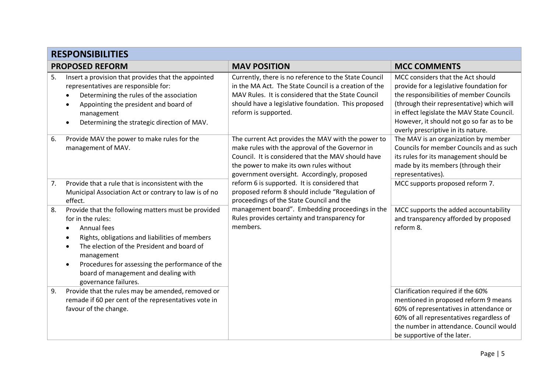|    | <b>RESPONSIBILITIES</b>                                                                                                                                                                                                                                                                                                                                                             |                                                                                                                                                                                                                                                       |                                                                                                                                                                                                                                                                                                        |  |
|----|-------------------------------------------------------------------------------------------------------------------------------------------------------------------------------------------------------------------------------------------------------------------------------------------------------------------------------------------------------------------------------------|-------------------------------------------------------------------------------------------------------------------------------------------------------------------------------------------------------------------------------------------------------|--------------------------------------------------------------------------------------------------------------------------------------------------------------------------------------------------------------------------------------------------------------------------------------------------------|--|
|    | <b>PROPOSED REFORM</b>                                                                                                                                                                                                                                                                                                                                                              | <b>MAV POSITION</b>                                                                                                                                                                                                                                   | <b>MCC COMMENTS</b>                                                                                                                                                                                                                                                                                    |  |
| 5. | Insert a provision that provides that the appointed<br>representatives are responsible for:<br>Determining the rules of the association<br>Appointing the president and board of<br>$\bullet$<br>management<br>Determining the strategic direction of MAV.<br>$\bullet$                                                                                                             | Currently, there is no reference to the State Council<br>in the MA Act. The State Council is a creation of the<br>MAV Rules. It is considered that the State Council<br>should have a legislative foundation. This proposed<br>reform is supported.   | MCC considers that the Act should<br>provide for a legislative foundation for<br>the responsibilities of member Councils<br>(through their representative) which will<br>in effect legislate the MAV State Council.<br>However, it should not go so far as to be<br>overly prescriptive in its nature. |  |
| 6. | Provide MAV the power to make rules for the<br>management of MAV.                                                                                                                                                                                                                                                                                                                   | The current Act provides the MAV with the power to<br>make rules with the approval of the Governor in<br>Council. It is considered that the MAV should have<br>the power to make its own rules without<br>government oversight. Accordingly, proposed | The MAV is an organization by member<br>Councils for member Councils and as such<br>its rules for its management should be<br>made by its members (through their<br>representatives).                                                                                                                  |  |
| 7. | Provide that a rule that is inconsistent with the<br>Municipal Association Act or contrary to law is of no<br>effect.                                                                                                                                                                                                                                                               | reform 6 is supported. It is considered that<br>proposed reform 8 should include "Regulation of<br>proceedings of the State Council and the                                                                                                           | MCC supports proposed reform 7.                                                                                                                                                                                                                                                                        |  |
| 8. | Provide that the following matters must be provided<br>for in the rules:<br><b>Annual fees</b><br>$\bullet$<br>Rights, obligations and liabilities of members<br>$\bullet$<br>The election of the President and board of<br>$\bullet$<br>management<br>Procedures for assessing the performance of the<br>$\bullet$<br>board of management and dealing with<br>governance failures. | management board". Embedding proceedings in the<br>Rules provides certainty and transparency for<br>members.                                                                                                                                          | MCC supports the added accountability<br>and transparency afforded by proposed<br>reform 8.                                                                                                                                                                                                            |  |
| 9. | Provide that the rules may be amended, removed or<br>remade if 60 per cent of the representatives vote in<br>favour of the change.                                                                                                                                                                                                                                                  |                                                                                                                                                                                                                                                       | Clarification required if the 60%<br>mentioned in proposed reform 9 means<br>60% of representatives in attendance or<br>60% of all representatives regardless of<br>the number in attendance. Council would<br>be supportive of the later.                                                             |  |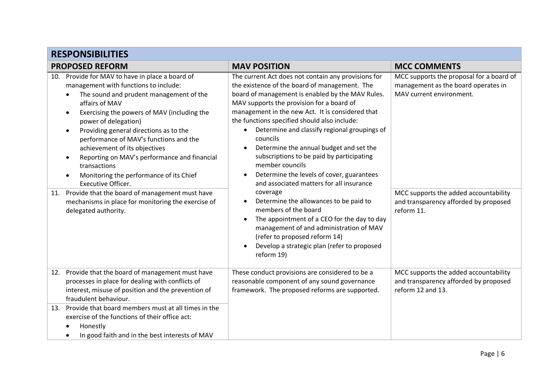|            | <b>RESPONSIBILITIES</b>                                                                                                                                                                                                                                                                                                                                                                                                                                                                                                                                                                                                                                      |                                                                                                                                                                                                                                                                                                                                                                                                                                                                                                                                                                                                                                                                                                                                                                                                                                                 |                                                                                                                                                                                                             |
|------------|--------------------------------------------------------------------------------------------------------------------------------------------------------------------------------------------------------------------------------------------------------------------------------------------------------------------------------------------------------------------------------------------------------------------------------------------------------------------------------------------------------------------------------------------------------------------------------------------------------------------------------------------------------------|-------------------------------------------------------------------------------------------------------------------------------------------------------------------------------------------------------------------------------------------------------------------------------------------------------------------------------------------------------------------------------------------------------------------------------------------------------------------------------------------------------------------------------------------------------------------------------------------------------------------------------------------------------------------------------------------------------------------------------------------------------------------------------------------------------------------------------------------------|-------------------------------------------------------------------------------------------------------------------------------------------------------------------------------------------------------------|
|            | <b>PROPOSED REFORM</b>                                                                                                                                                                                                                                                                                                                                                                                                                                                                                                                                                                                                                                       | <b>MAV POSITION</b>                                                                                                                                                                                                                                                                                                                                                                                                                                                                                                                                                                                                                                                                                                                                                                                                                             | <b>MCC COMMENTS</b>                                                                                                                                                                                         |
| 10.<br>11. | Provide for MAV to have in place a board of<br>management with functions to include:<br>The sound and prudent management of the<br>$\bullet$<br>affairs of MAV<br>Exercising the powers of MAV (including the<br>$\bullet$<br>power of delegation)<br>Providing general directions as to the<br>performance of MAV's functions and the<br>achievement of its objectives<br>Reporting on MAV's performance and financial<br>transactions<br>Monitoring the performance of its Chief<br>$\bullet$<br><b>Executive Officer.</b><br>Provide that the board of management must have<br>mechanisms in place for monitoring the exercise of<br>delegated authority. | The current Act does not contain any provisions for<br>the existence of the board of management. The<br>board of management is enabled by the MAV Rules.<br>MAV supports the provision for a board of<br>management in the new Act. It is considered that<br>the functions specified should also include:<br>Determine and classify regional groupings of<br>councils<br>Determine the annual budget and set the<br>subscriptions to be paid by participating<br>member councils<br>Determine the levels of cover, guarantees<br>and associated matters for all insurance<br>coverage<br>Determine the allowances to be paid to<br>members of the board<br>The appointment of a CEO for the day to day<br>management of and administration of MAV<br>(refer to proposed reform 14)<br>Develop a strategic plan (refer to proposed<br>reform 19) | MCC supports the proposal for a board of<br>management as the board operates in<br>MAV current environment.<br>MCC supports the added accountability<br>and transparency afforded by proposed<br>reform 11. |
|            | 12. Provide that the board of management must have<br>processes in place for dealing with conflicts of<br>interest, misuse of position and the prevention of<br>fraudulent behaviour.                                                                                                                                                                                                                                                                                                                                                                                                                                                                        | These conduct provisions are considered to be a<br>reasonable component of any sound governance<br>framework. The proposed reforms are supported.                                                                                                                                                                                                                                                                                                                                                                                                                                                                                                                                                                                                                                                                                               | MCC supports the added accountability<br>and transparency afforded by proposed<br>reform 12 and 13.                                                                                                         |
|            | 13. Provide that board members must at all times in the<br>exercise of the functions of their office act:<br>Honestly<br>In good faith and in the best interests of MAV<br>$\bullet$                                                                                                                                                                                                                                                                                                                                                                                                                                                                         |                                                                                                                                                                                                                                                                                                                                                                                                                                                                                                                                                                                                                                                                                                                                                                                                                                                 |                                                                                                                                                                                                             |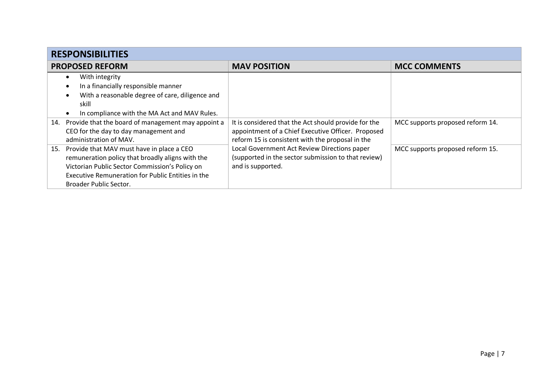| <b>RESPONSIBILITIES</b>                                      |                                                      |                                  |
|--------------------------------------------------------------|------------------------------------------------------|----------------------------------|
| <b>PROPOSED REFORM</b>                                       | <b>MAV POSITION</b>                                  | <b>MCC COMMENTS</b>              |
| With integrity                                               |                                                      |                                  |
| In a financially responsible manner                          |                                                      |                                  |
| With a reasonable degree of care, diligence and<br>$\bullet$ |                                                      |                                  |
| skill                                                        |                                                      |                                  |
| In compliance with the MA Act and MAV Rules.                 |                                                      |                                  |
| Provide that the board of management may appoint a<br>14.    | It is considered that the Act should provide for the | MCC supports proposed reform 14. |
| CEO for the day to day management and                        | appointment of a Chief Executive Officer. Proposed   |                                  |
| administration of MAV.                                       | reform 15 is consistent with the proposal in the     |                                  |
| Provide that MAV must have in place a CEO<br>15.             | Local Government Act Review Directions paper         | MCC supports proposed reform 15. |
| remuneration policy that broadly aligns with the             | (supported in the sector submission to that review)  |                                  |
| Victorian Public Sector Commission's Policy on               | and is supported.                                    |                                  |
| Executive Remuneration for Public Entities in the            |                                                      |                                  |
| Broader Public Sector.                                       |                                                      |                                  |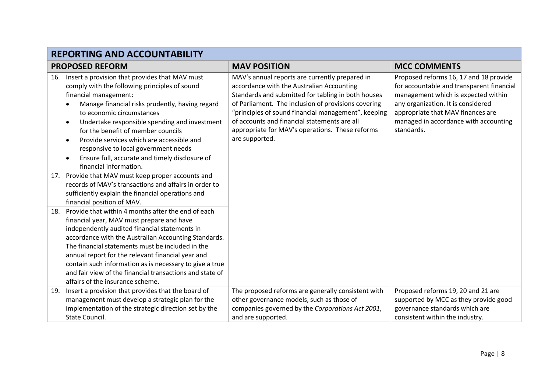|     | <b>REPORTING AND ACCOUNTABILITY</b>                                                                                                                                                                                                                                                                                                                                                                                                                                          |                                                                                                                                                                                                                                                                                                                                                                                      |                                                                                                                                                                                                                                                              |  |
|-----|------------------------------------------------------------------------------------------------------------------------------------------------------------------------------------------------------------------------------------------------------------------------------------------------------------------------------------------------------------------------------------------------------------------------------------------------------------------------------|--------------------------------------------------------------------------------------------------------------------------------------------------------------------------------------------------------------------------------------------------------------------------------------------------------------------------------------------------------------------------------------|--------------------------------------------------------------------------------------------------------------------------------------------------------------------------------------------------------------------------------------------------------------|--|
|     | <b>PROPOSED REFORM</b>                                                                                                                                                                                                                                                                                                                                                                                                                                                       | <b>MAV POSITION</b>                                                                                                                                                                                                                                                                                                                                                                  | <b>MCC COMMENTS</b>                                                                                                                                                                                                                                          |  |
| 16. | Insert a provision that provides that MAV must<br>comply with the following principles of sound<br>financial management:<br>Manage financial risks prudently, having regard<br>to economic circumstances<br>Undertake responsible spending and investment<br>for the benefit of member councils<br>Provide services which are accessible and<br>responsive to local government needs<br>Ensure full, accurate and timely disclosure of<br>financial information.             | MAV's annual reports are currently prepared in<br>accordance with the Australian Accounting<br>Standards and submitted for tabling in both houses<br>of Parliament. The inclusion of provisions covering<br>"principles of sound financial management", keeping<br>of accounts and financial statements are all<br>appropriate for MAV's operations. These reforms<br>are supported. | Proposed reforms 16, 17 and 18 provide<br>for accountable and transparent financial<br>management which is expected within<br>any organization. It is considered<br>appropriate that MAV finances are<br>managed in accordance with accounting<br>standards. |  |
| 17. | Provide that MAV must keep proper accounts and<br>records of MAV's transactions and affairs in order to<br>sufficiently explain the financial operations and<br>financial position of MAV.                                                                                                                                                                                                                                                                                   |                                                                                                                                                                                                                                                                                                                                                                                      |                                                                                                                                                                                                                                                              |  |
| 18. | Provide that within 4 months after the end of each<br>financial year, MAV must prepare and have<br>independently audited financial statements in<br>accordance with the Australian Accounting Standards.<br>The financial statements must be included in the<br>annual report for the relevant financial year and<br>contain such information as is necessary to give a true<br>and fair view of the financial transactions and state of<br>affairs of the insurance scheme. |                                                                                                                                                                                                                                                                                                                                                                                      |                                                                                                                                                                                                                                                              |  |
| 19. | Insert a provision that provides that the board of<br>management must develop a strategic plan for the<br>implementation of the strategic direction set by the<br>State Council.                                                                                                                                                                                                                                                                                             | The proposed reforms are generally consistent with<br>other governance models, such as those of<br>companies governed by the Corporations Act 2001,<br>and are supported.                                                                                                                                                                                                            | Proposed reforms 19, 20 and 21 are<br>supported by MCC as they provide good<br>governance standards which are<br>consistent within the industry.                                                                                                             |  |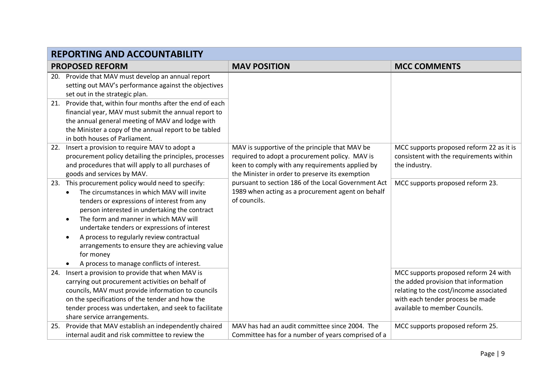|     | <b>REPORTING AND ACCOUNTABILITY</b>                                                                                                                                                                                                                                                                                                                                                                                                                                            |                                                                                                                                                                                                        |                                                                                                                                                                                             |  |
|-----|--------------------------------------------------------------------------------------------------------------------------------------------------------------------------------------------------------------------------------------------------------------------------------------------------------------------------------------------------------------------------------------------------------------------------------------------------------------------------------|--------------------------------------------------------------------------------------------------------------------------------------------------------------------------------------------------------|---------------------------------------------------------------------------------------------------------------------------------------------------------------------------------------------|--|
|     | <b>PROPOSED REFORM</b>                                                                                                                                                                                                                                                                                                                                                                                                                                                         | <b>MAV POSITION</b>                                                                                                                                                                                    | <b>MCC COMMENTS</b>                                                                                                                                                                         |  |
|     | 20. Provide that MAV must develop an annual report<br>setting out MAV's performance against the objectives<br>set out in the strategic plan.                                                                                                                                                                                                                                                                                                                                   |                                                                                                                                                                                                        |                                                                                                                                                                                             |  |
| 21. | Provide that, within four months after the end of each<br>financial year, MAV must submit the annual report to<br>the annual general meeting of MAV and lodge with<br>the Minister a copy of the annual report to be tabled<br>in both houses of Parliament.                                                                                                                                                                                                                   |                                                                                                                                                                                                        |                                                                                                                                                                                             |  |
|     | 22. Insert a provision to require MAV to adopt a<br>procurement policy detailing the principles, processes<br>and procedures that will apply to all purchases of<br>goods and services by MAV.                                                                                                                                                                                                                                                                                 | MAV is supportive of the principle that MAV be<br>required to adopt a procurement policy. MAV is<br>keen to comply with any requirements applied by<br>the Minister in order to preserve its exemption | MCC supports proposed reform 22 as it is<br>consistent with the requirements within<br>the industry.                                                                                        |  |
|     | 23. This procurement policy would need to specify:<br>The circumstances in which MAV will invite<br>$\bullet$<br>tenders or expressions of interest from any<br>person interested in undertaking the contract<br>The form and manner in which MAV will<br>undertake tenders or expressions of interest<br>A process to regularly review contractual<br>$\bullet$<br>arrangements to ensure they are achieving value<br>for money<br>A process to manage conflicts of interest. | pursuant to section 186 of the Local Government Act<br>1989 when acting as a procurement agent on behalf<br>of councils.                                                                               | MCC supports proposed reform 23.                                                                                                                                                            |  |
| 24. | Insert a provision to provide that when MAV is<br>carrying out procurement activities on behalf of<br>councils, MAV must provide information to councils<br>on the specifications of the tender and how the<br>tender process was undertaken, and seek to facilitate<br>share service arrangements.                                                                                                                                                                            |                                                                                                                                                                                                        | MCC supports proposed reform 24 with<br>the added provision that information<br>relating to the cost/income associated<br>with each tender process be made<br>available to member Councils. |  |
| 25. | Provide that MAV establish an independently chaired<br>internal audit and risk committee to review the                                                                                                                                                                                                                                                                                                                                                                         | MAV has had an audit committee since 2004. The<br>Committee has for a number of years comprised of a                                                                                                   | MCC supports proposed reform 25.                                                                                                                                                            |  |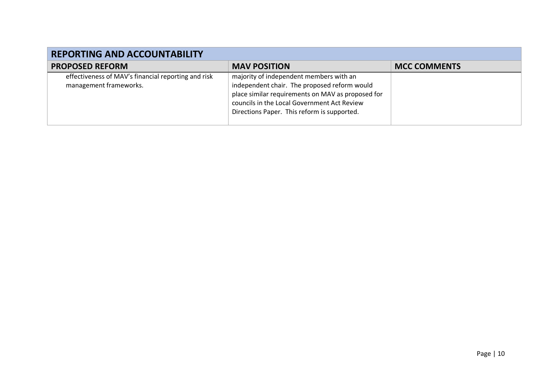| <b>REPORTING AND ACCOUNTABILITY</b>                                           |                                                                                                                                                                                                                                            |                     |
|-------------------------------------------------------------------------------|--------------------------------------------------------------------------------------------------------------------------------------------------------------------------------------------------------------------------------------------|---------------------|
| <b>PROPOSED REFORM</b>                                                        | <b>MAV POSITION</b>                                                                                                                                                                                                                        | <b>MCC COMMENTS</b> |
| effectiveness of MAV's financial reporting and risk<br>management frameworks. | majority of independent members with an<br>independent chair. The proposed reform would<br>place similar requirements on MAV as proposed for<br>councils in the Local Government Act Review<br>Directions Paper. This reform is supported. |                     |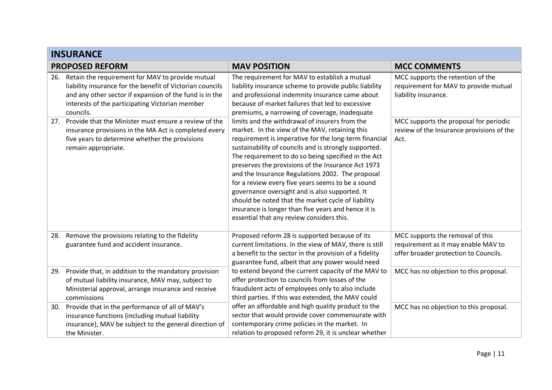|     | <b>INSURANCE</b>                                                                                                                                                                                                                         |                                                                                                                                                                                                                                                                                                                                                                                                                                                                                                                                                                                                                                                      |                                                                                                                  |
|-----|------------------------------------------------------------------------------------------------------------------------------------------------------------------------------------------------------------------------------------------|------------------------------------------------------------------------------------------------------------------------------------------------------------------------------------------------------------------------------------------------------------------------------------------------------------------------------------------------------------------------------------------------------------------------------------------------------------------------------------------------------------------------------------------------------------------------------------------------------------------------------------------------------|------------------------------------------------------------------------------------------------------------------|
|     | <b>PROPOSED REFORM</b>                                                                                                                                                                                                                   | <b>MAV POSITION</b>                                                                                                                                                                                                                                                                                                                                                                                                                                                                                                                                                                                                                                  | <b>MCC COMMENTS</b>                                                                                              |
| 26. | Retain the requirement for MAV to provide mutual<br>liability insurance for the benefit of Victorian councils<br>and any other sector if expansion of the fund is in the<br>interests of the participating Victorian member<br>councils. | The requirement for MAV to establish a mutual<br>liability insurance scheme to provide public liability<br>and professional indemnity insurance came about<br>because of market failures that led to excessive<br>premiums, a narrowing of coverage, inadequate                                                                                                                                                                                                                                                                                                                                                                                      | MCC supports the retention of the<br>requirement for MAV to provide mutual<br>liability insurance.               |
|     | 27. Provide that the Minister must ensure a review of the<br>insurance provisions in the MA Act is completed every<br>five years to determine whether the provisions<br>remain appropriate.                                              | limits and the withdrawal of insurers from the<br>market. In the view of the MAV, retaining this<br>requirement is imperative for the long-term financial<br>sustainability of councils and is strongly supported.<br>The requirement to do so being specified in the Act<br>preserves the provisions of the Insurance Act 1973<br>and the Insurance Regulations 2002. The proposal<br>for a review every five years seems to be a sound<br>governance oversight and is also supported. It<br>should be noted that the market cycle of liability<br>insurance is longer than five years and hence it is<br>essential that any review considers this. | MCC supports the proposal for periodic<br>review of the Insurance provisions of the<br>Act.                      |
| 28. | Remove the provisions relating to the fidelity<br>guarantee fund and accident insurance.                                                                                                                                                 | Proposed reform 28 is supported because of its<br>current limitations. In the view of MAV, there is still<br>a benefit to the sector in the provision of a fidelity<br>guarantee fund, albeit that any power would need                                                                                                                                                                                                                                                                                                                                                                                                                              | MCC supports the removal of this<br>requirement as it may enable MAV to<br>offer broader protection to Councils. |
| 29. | Provide that, in addition to the mandatory provision<br>of mutual liability insurance, MAV may, subject to<br>Ministerial approval, arrange insurance and receive<br>commissions                                                         | to extend beyond the current capacity of the MAV to<br>offer protection to councils from losses of the<br>fraudulent acts of employees only to also include<br>third parties. If this was extended, the MAV could                                                                                                                                                                                                                                                                                                                                                                                                                                    | MCC has no objection to this proposal.                                                                           |
| 30. | Provide that in the performance of all of MAV's<br>insurance functions (including mutual liability<br>insurance), MAV be subject to the general direction of<br>the Minister.                                                            | offer an affordable and high quality product to the<br>sector that would provide cover commensurate with<br>contemporary crime policies in the market. In<br>relation to proposed reform 29, it is unclear whether                                                                                                                                                                                                                                                                                                                                                                                                                                   | MCC has no objection to this proposal.                                                                           |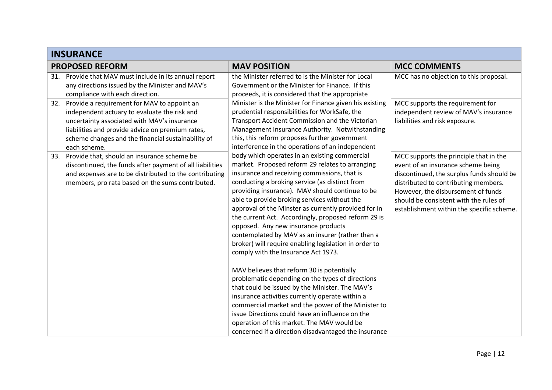| <b>INSURANCE</b>                                                                                                                                                                                                                                                            |                                                                                                                                                                                                                                                                                                                                                                                                                                                                                                                                                                                                                 |                                                                                                                                                                                                                                                                                                |
|-----------------------------------------------------------------------------------------------------------------------------------------------------------------------------------------------------------------------------------------------------------------------------|-----------------------------------------------------------------------------------------------------------------------------------------------------------------------------------------------------------------------------------------------------------------------------------------------------------------------------------------------------------------------------------------------------------------------------------------------------------------------------------------------------------------------------------------------------------------------------------------------------------------|------------------------------------------------------------------------------------------------------------------------------------------------------------------------------------------------------------------------------------------------------------------------------------------------|
| <b>PROPOSED REFORM</b>                                                                                                                                                                                                                                                      | <b>MAV POSITION</b>                                                                                                                                                                                                                                                                                                                                                                                                                                                                                                                                                                                             | <b>MCC COMMENTS</b>                                                                                                                                                                                                                                                                            |
| Provide that MAV must include in its annual report<br>31.<br>any directions issued by the Minister and MAV's<br>compliance with each direction.                                                                                                                             | the Minister referred to is the Minister for Local<br>Government or the Minister for Finance. If this<br>proceeds, it is considered that the appropriate                                                                                                                                                                                                                                                                                                                                                                                                                                                        | MCC has no objection to this proposal.                                                                                                                                                                                                                                                         |
| Provide a requirement for MAV to appoint an<br>32.<br>independent actuary to evaluate the risk and<br>uncertainty associated with MAV's insurance<br>liabilities and provide advice on premium rates,<br>scheme changes and the financial sustainability of<br>each scheme. | Minister is the Minister for Finance given his existing<br>prudential responsibilities for WorkSafe, the<br>Transport Accident Commission and the Victorian<br>Management Insurance Authority. Notwithstanding<br>this, this reform proposes further government<br>interference in the operations of an independent                                                                                                                                                                                                                                                                                             | MCC supports the requirement for<br>independent review of MAV's insurance<br>liabilities and risk exposure.                                                                                                                                                                                    |
| 33. Provide that, should an insurance scheme be<br>discontinued, the funds after payment of all liabilities<br>and expenses are to be distributed to the contributing<br>members, pro rata based on the sums contributed.                                                   | body which operates in an existing commercial<br>market. Proposed reform 29 relates to arranging<br>insurance and receiving commissions, that is<br>conducting a broking service (as distinct from<br>providing insurance). MAV should continue to be<br>able to provide broking services without the<br>approval of the Minster as currently provided for in<br>the current Act. Accordingly, proposed reform 29 is<br>opposed. Any new insurance products<br>contemplated by MAV as an insurer (rather than a<br>broker) will require enabling legislation in order to<br>comply with the Insurance Act 1973. | MCC supports the principle that in the<br>event of an insurance scheme being<br>discontinued, the surplus funds should be<br>distributed to contributing members.<br>However, the disbursement of funds<br>should be consistent with the rules of<br>establishment within the specific scheme. |
|                                                                                                                                                                                                                                                                             | MAV believes that reform 30 is potentially<br>problematic depending on the types of directions<br>that could be issued by the Minister. The MAV's<br>insurance activities currently operate within a<br>commercial market and the power of the Minister to<br>issue Directions could have an influence on the<br>operation of this market. The MAV would be<br>concerned if a direction disadvantaged the insurance                                                                                                                                                                                             |                                                                                                                                                                                                                                                                                                |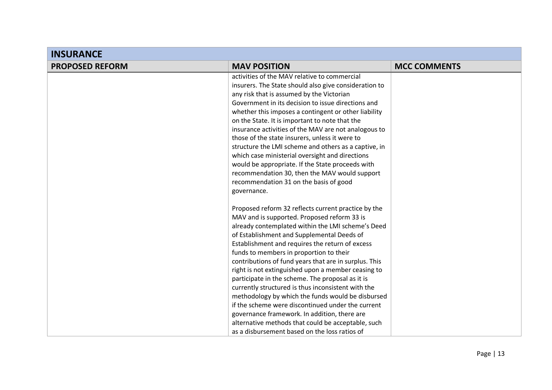| <b>INSURANCE</b>       |                                                       |                     |
|------------------------|-------------------------------------------------------|---------------------|
| <b>PROPOSED REFORM</b> | <b>MAV POSITION</b>                                   | <b>MCC COMMENTS</b> |
|                        | activities of the MAV relative to commercial          |                     |
|                        | insurers. The State should also give consideration to |                     |
|                        | any risk that is assumed by the Victorian             |                     |
|                        | Government in its decision to issue directions and    |                     |
|                        | whether this imposes a contingent or other liability  |                     |
|                        | on the State. It is important to note that the        |                     |
|                        | insurance activities of the MAV are not analogous to  |                     |
|                        | those of the state insurers, unless it were to        |                     |
|                        | structure the LMI scheme and others as a captive, in  |                     |
|                        | which case ministerial oversight and directions       |                     |
|                        | would be appropriate. If the State proceeds with      |                     |
|                        | recommendation 30, then the MAV would support         |                     |
|                        | recommendation 31 on the basis of good                |                     |
|                        | governance.                                           |                     |
|                        | Proposed reform 32 reflects current practice by the   |                     |
|                        | MAV and is supported. Proposed reform 33 is           |                     |
|                        | already contemplated within the LMI scheme's Deed     |                     |
|                        | of Establishment and Supplemental Deeds of            |                     |
|                        | Establishment and requires the return of excess       |                     |
|                        | funds to members in proportion to their               |                     |
|                        | contributions of fund years that are in surplus. This |                     |
|                        | right is not extinguished upon a member ceasing to    |                     |
|                        | participate in the scheme. The proposal as it is      |                     |
|                        | currently structured is thus inconsistent with the    |                     |
|                        | methodology by which the funds would be disbursed     |                     |
|                        | if the scheme were discontinued under the current     |                     |
|                        | governance framework. In addition, there are          |                     |
|                        | alternative methods that could be acceptable, such    |                     |
|                        | as a disbursement based on the loss ratios of         |                     |